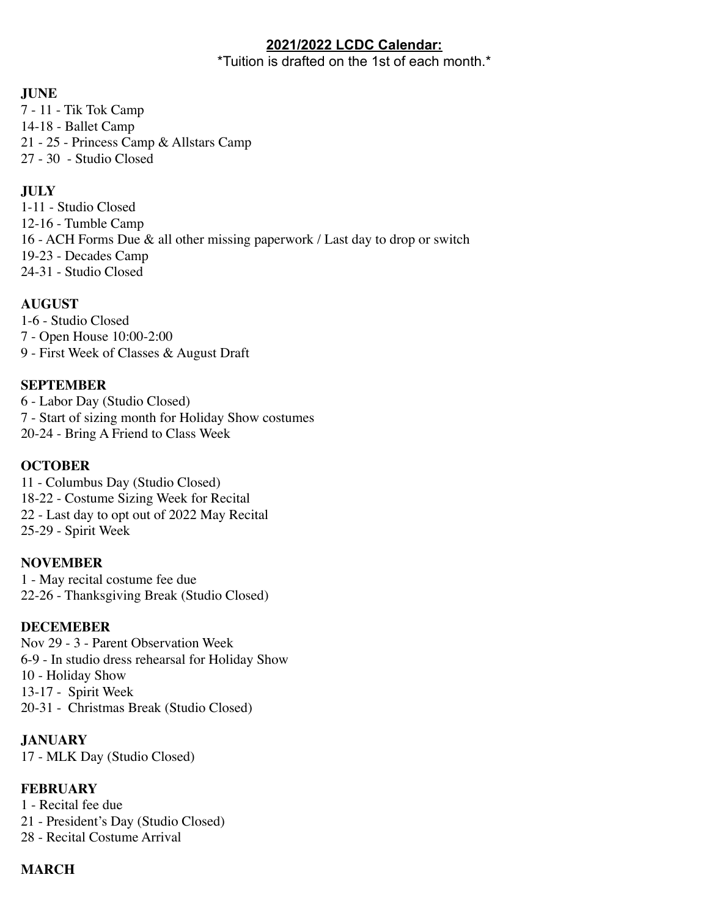### **2021/2022 LCDC Calendar:**

\*Tuition is drafted on the 1st of each month.\*

## **JUNE**

7 - 11 - Tik Tok Camp 14-18 - Ballet Camp 21 - 25 - Princess Camp & Allstars Camp 27 - 30 - Studio Closed

## **JULY**

1-11 - Studio Closed 12-16 - Tumble Camp 16 - ACH Forms Due & all other missing paperwork / Last day to drop or switch 19-23 - Decades Camp 24-31 - Studio Closed

## **AUGUST**

1-6 - Studio Closed 7 - Open House 10:00-2:00 9 - First Week of Classes & August Draft

## **SEPTEMBER**

6 - Labor Day (Studio Closed) 7 - Start of sizing month for Holiday Show costumes 20-24 - Bring A Friend to Class Week

#### **OCTOBER**

11 - Columbus Day (Studio Closed) 18-22 - Costume Sizing Week for Recital 22 - Last day to opt out of 2022 May Recital 25-29 - Spirit Week

#### **NOVEMBER**

1 - May recital costume fee due 22-26 - Thanksgiving Break (Studio Closed)

#### **DECEMEBER**

Nov 29 - 3 - Parent Observation Week 6-9 - In studio dress rehearsal for Holiday Show 10 - Holiday Show 13-17 - Spirit Week 20-31 - Christmas Break (Studio Closed)

**JANUARY**  17 - MLK Day (Studio Closed)

#### **FEBRUARY**

1 - Recital fee due

21 - President's Day (Studio Closed)

28 - Recital Costume Arrival

## **MARCH**